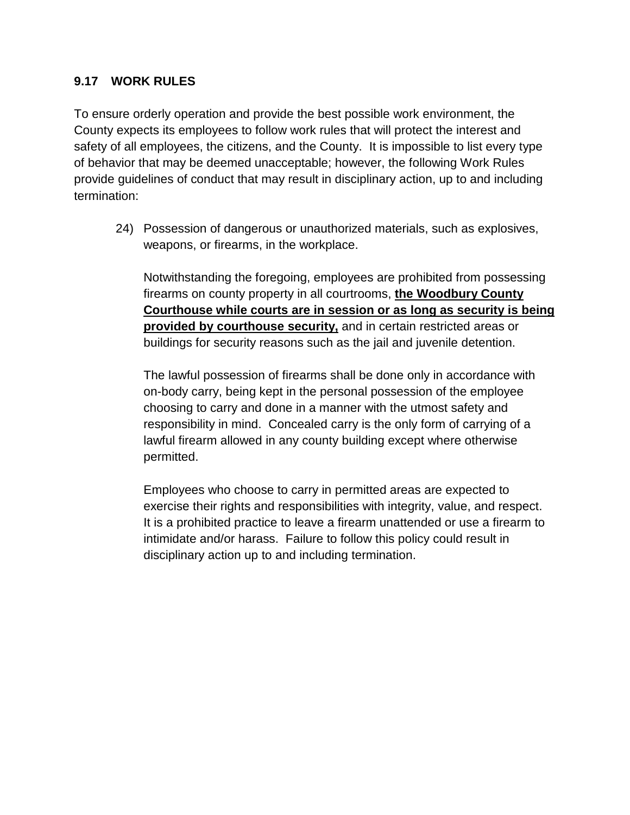## **9.17 WORK RULES**

To ensure orderly operation and provide the best possible work environment, the County expects its employees to follow work rules that will protect the interest and safety of all employees, the citizens, and the County. It is impossible to list every type of behavior that may be deemed unacceptable; however, the following Work Rules provide guidelines of conduct that may result in disciplinary action, up to and including termination:

24) Possession of dangerous or unauthorized materials, such as explosives, weapons, or firearms, in the workplace.

Notwithstanding the foregoing, employees are prohibited from possessing firearms on county property in all courtrooms, **the Woodbury County Courthouse while courts are in session or as long as security is being provided by courthouse security,** and in certain restricted areas or buildings for security reasons such as the jail and juvenile detention.

The lawful possession of firearms shall be done only in accordance with on-body carry, being kept in the personal possession of the employee choosing to carry and done in a manner with the utmost safety and responsibility in mind. Concealed carry is the only form of carrying of a lawful firearm allowed in any county building except where otherwise permitted.

Employees who choose to carry in permitted areas are expected to exercise their rights and responsibilities with integrity, value, and respect. It is a prohibited practice to leave a firearm unattended or use a firearm to intimidate and/or harass. Failure to follow this policy could result in disciplinary action up to and including termination.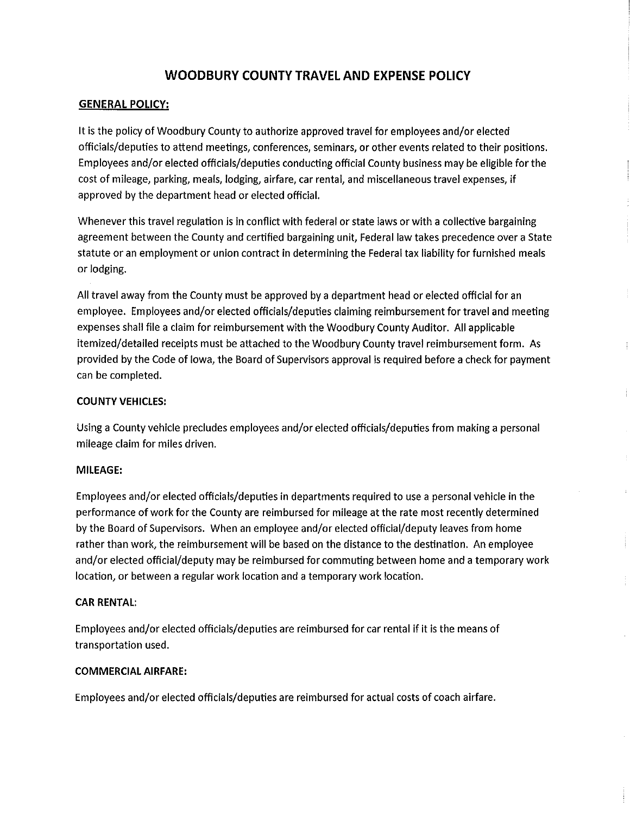# **WOODBURY COUNTY TRAVEL AND EXPENSE POLICY**

#### **GENERAL POLICY:**

It is the policy of Woodbury County to authorize approved travel for employees and/or elected officials/deputies to attend meetings, conferences, seminars, or other events related to their positions. Employees and/or elected officials/deputies conducting official County business may be eligible for the cost of mileage, parking, meals, lodging, airfare, car rental, and miscellaneous travel expenses, if approved by the department head or elected official.

Whenever this travel regulation is in conflict with federal or state laws or with a collective bargaining agreement between the County and certified bargaining unit, Federal law takes precedence over a State statute or an employment or union contract in determining the Federal tax liability for furnished meals or lodging.

All travel away from the County must be approved by a department head or elected official for an employee. Employees and/or elected officials/deputies claiming reimbursement for travel and meeting expenses shall file a claim for reimbursement with the Woodbury County Auditor. All applicable itemized/detailed receipts must be attached to the Woodbury County travel reimbursement form. As provided by the Code of lowa, the Board of Supervisors approval is required before a check for payment can be completed.

ţ

#### **COUNTY VEHICLES:**

Using a County vehicle precludes employees and/or elected officials/deputies from making a personal mileage claim for miles driven.

#### **MILEAGE:**

Employees and/or elected officials/deputies in departments required to use a personal vehicle in the performance of work for the County are reimbursed for mileage at the rate most recently determined by the Board of Supervisors. When an employee and/or elected official/deputy leaves from home rather than work, the reimbursement will be based on the distance to the destination. An employee and/or elected official/deputy may be reimbursed for commuting between home and a temporary work location, or between a regular work location and a temporary work location.

#### **CAR RENTAL:**

Employees and/or elected officials/deputies are reimbursed for car rental if it is the means of transportation used.

#### **COMMERCIAL AIRFARE:**

Employees and/or elected officials/deputies are reimbursed for actual costs of coach airfare.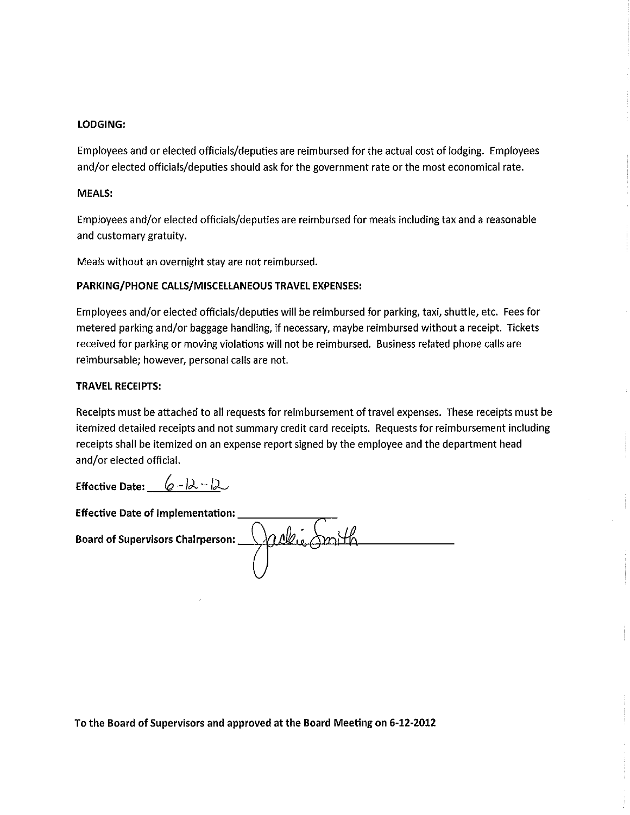#### **LODGING:**

Employees and or elected officials/deputies are reimbursed for the actual cost of lodging. Employees and/or elected officials/deputies should ask for the government rate or the most economical rate.

#### MEALS:

Employees and/or elected officials/deputies are reimbursed for meals including tax and a reasonable and customary gratuity.

Meals without an overnight stay are not reimbursed.

### PARKING/PHONE CALLS/MISCELLANEOUS TRAVEL EXPENSES:

Employees and/or elected officials/deputies will be reimbursed for parking, taxi, shuttle, etc. Fees for metered parking and/or baggage handling, if necessary, maybe reimbursed without a receipt. Tickets received for parking or moving violations will not be reimbursed. Business related phone calls are reimbursable; however, personal calls are not.

#### **TRAVEL RECEIPTS:**

Receipts must be attached to all requests for reimbursement of travel expenses. These receipts must be itemized detailed receipts and not summary credit card receipts. Requests for reimbursement including receipts shall be itemized on an expense report signed by the employee and the department head and/or elected official.

Effective Date:  $\left( \rho - \beta \lambda - \beta \lambda \right)$ 

**Effective Date of Implementation:** Board of Supervisors Chairperson:  $\bigcap_{\mathcal{A}} \mathcal{A}$ 

To the Board of Supervisors and approved at the Board Meeting on 6-12-2012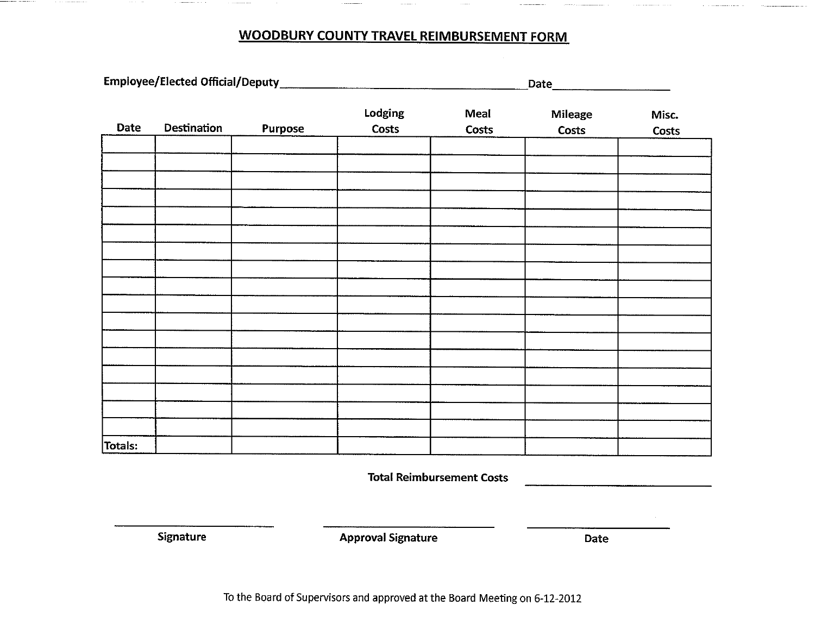# **WOODBURY COUNTY TRAVEL REIMBURSEMENT FORM**

| Date    | Destination | Purpose | Lodging<br>Costs | Meal<br>Costs | <b>Mileage</b><br>Costs | Misc.<br>Costs |
|---------|-------------|---------|------------------|---------------|-------------------------|----------------|
|         |             |         |                  |               |                         |                |
|         |             |         |                  |               |                         |                |
|         |             |         |                  |               |                         |                |
|         |             |         |                  |               |                         |                |
|         |             |         |                  |               |                         |                |
|         |             |         |                  |               |                         |                |
|         |             |         |                  |               |                         |                |
|         |             |         |                  |               |                         |                |
|         |             |         |                  |               |                         |                |
|         |             |         |                  |               |                         |                |
|         |             |         |                  |               |                         |                |
|         |             |         |                  |               |                         |                |
|         |             |         |                  |               |                         |                |
|         |             |         |                  |               |                         |                |
|         |             |         |                  |               |                         |                |
|         |             |         |                  |               |                         |                |
| Totals: |             |         |                  |               |                         |                |

**Total Reimbursement Costs** 

Signature

**Approval Signature** 

Date